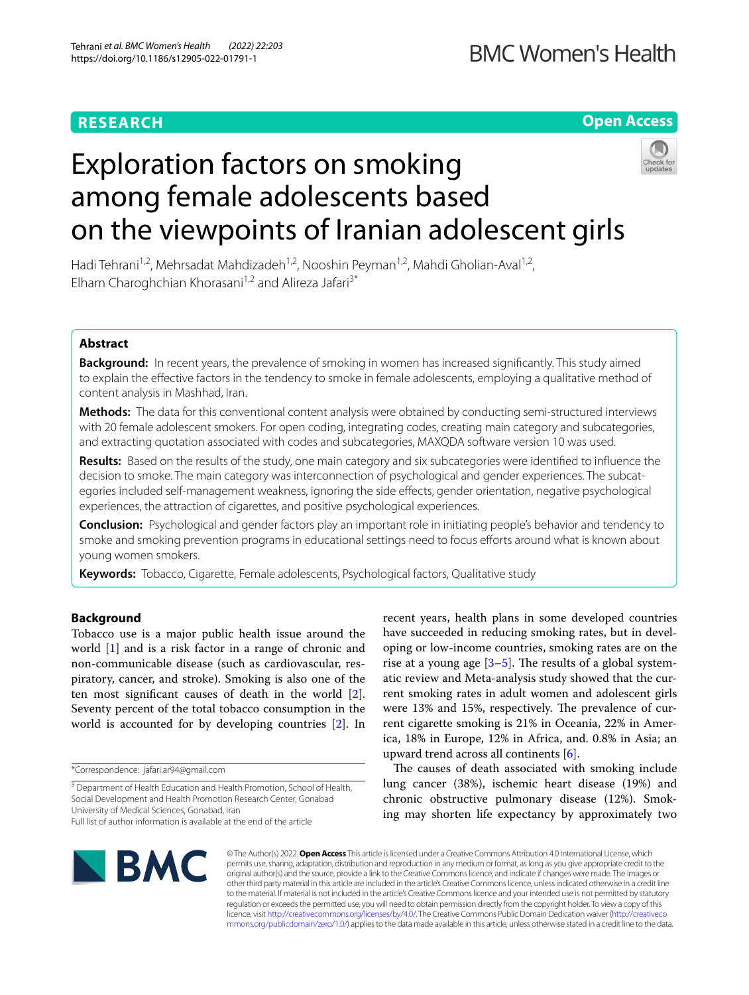# **RESEARCH**

**Open Access**

# Exploration factors on smoking among female adolescents based on the viewpoints of Iranian adolescent girls

Hadi Tehrani<sup>1,2</sup>, Mehrsadat Mahdizadeh<sup>1,2</sup>, Nooshin Peyman<sup>1,2</sup>, Mahdi Gholian-Aval<sup>1,2</sup>, Elham Charoghchian Khorasani<sup>1,2</sup> and Alireza Jafari<sup>3\*</sup>

# **Abstract**

**Background:** In recent years, the prevalence of smoking in women has increased signifcantly. This study aimed to explain the efective factors in the tendency to smoke in female adolescents, employing a qualitative method of content analysis in Mashhad, Iran.

**Methods:** The data for this conventional content analysis were obtained by conducting semi‑structured interviews with 20 female adolescent smokers. For open coding, integrating codes, creating main category and subcategories, and extracting quotation associated with codes and subcategories, MAXQDA software version 10 was used.

**Results:** Based on the results of the study, one main category and six subcategories were identifed to infuence the decision to smoke. The main category was interconnection of psychological and gender experiences. The subcategories included self-management weakness, ignoring the side effects, gender orientation, negative psychological experiences, the attraction of cigarettes, and positive psychological experiences.

**Conclusion:** Psychological and gender factors play an important role in initiating people's behavior and tendency to smoke and smoking prevention programs in educational settings need to focus eforts around what is known about young women smokers.

**Keywords:** Tobacco, Cigarette, Female adolescents, Psychological factors, Qualitative study

# **Background**

Tobacco use is a major public health issue around the world [\[1](#page-6-0)] and is a risk factor in a range of chronic and non-communicable disease (such as cardiovascular, respiratory, cancer, and stroke). Smoking is also one of the ten most signifcant causes of death in the world [\[2](#page-6-1)]. Seventy percent of the total tobacco consumption in the world is accounted for by developing countries [\[2\]](#page-6-1). In

\*Correspondence: jafari.ar94@gmail.com

The causes of death associated with smoking include lung cancer (38%), ischemic heart disease (19%) and chronic obstructive pulmonary disease (12%). Smoking may shorten life expectancy by approximately two



© The Author(s) 2022. **Open Access** This article is licensed under a Creative Commons Attribution 4.0 International License, which permits use, sharing, adaptation, distribution and reproduction in any medium or format, as long as you give appropriate credit to the original author(s) and the source, provide a link to the Creative Commons licence, and indicate if changes were made. The images or other third party material in this article are included in the article's Creative Commons licence, unless indicated otherwise in a credit line to the material. If material is not included in the article's Creative Commons licence and your intended use is not permitted by statutory regulation or exceeds the permitted use, you will need to obtain permission directly from the copyright holder. To view a copy of this licence, visit [http://creativecommons.org/licenses/by/4.0/.](http://creativecommons.org/licenses/by/4.0/) The Creative Commons Public Domain Dedication waiver ([http://creativeco](http://creativecommons.org/publicdomain/zero/1.0/) [mmons.org/publicdomain/zero/1.0/](http://creativecommons.org/publicdomain/zero/1.0/)) applies to the data made available in this article, unless otherwise stated in a credit line to the data.

<sup>&</sup>lt;sup>3</sup> Department of Health Education and Health Promotion, School of Health, Social Development and Health Promotion Research Center, Gonabad University of Medical Sciences, Gonabad, Iran Full list of author information is available at the end of the article

recent years, health plans in some developed countries have succeeded in reducing smoking rates, but in developing or low-income countries, smoking rates are on the rise at a young age  $[3-5]$  $[3-5]$ . The results of a global systematic review and Meta-analysis study showed that the current smoking rates in adult women and adolescent girls were 13% and 15%, respectively. The prevalence of current cigarette smoking is 21% in Oceania, 22% in America, 18% in Europe, 12% in Africa, and. 0.8% in Asia; an upward trend across all continents [[6\]](#page-6-4).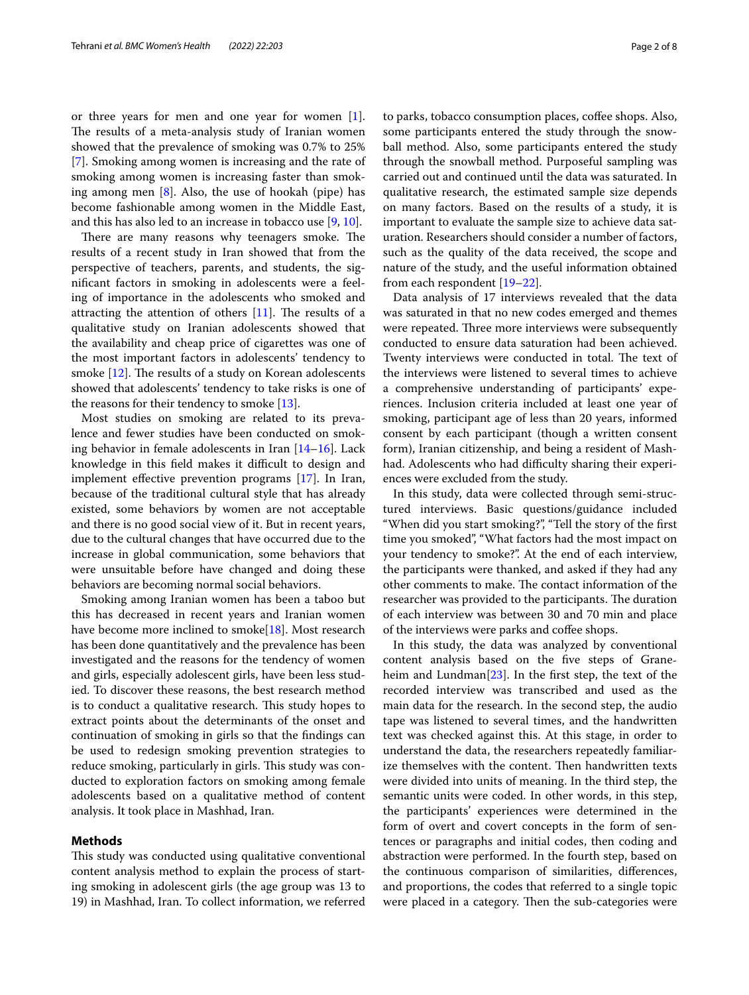or three years for men and one year for women [\[1](#page-6-0)]. The results of a meta-analysis study of Iranian women showed that the prevalence of smoking was 0.7% to 25% [[7\]](#page-6-5). Smoking among women is increasing and the rate of smoking among women is increasing faster than smoking among men [[8\]](#page-6-6). Also, the use of hookah (pipe) has become fashionable among women in the Middle East, and this has also led to an increase in tobacco use [\[9](#page-6-7), [10\]](#page-6-8).

There are many reasons why teenagers smoke. The results of a recent study in Iran showed that from the perspective of teachers, parents, and students, the signifcant factors in smoking in adolescents were a feeling of importance in the adolescents who smoked and attracting the attention of others  $[11]$  $[11]$ . The results of a qualitative study on Iranian adolescents showed that the availability and cheap price of cigarettes was one of the most important factors in adolescents' tendency to smoke  $[12]$ . The results of a study on Korean adolescents showed that adolescents' tendency to take risks is one of the reasons for their tendency to smoke [[13](#page-6-11)].

Most studies on smoking are related to its prevalence and fewer studies have been conducted on smoking behavior in female adolescents in Iran [[14–](#page-6-12)[16\]](#page-6-13). Lack knowledge in this field makes it difficult to design and implement efective prevention programs [[17\]](#page-6-14). In Iran, because of the traditional cultural style that has already existed, some behaviors by women are not acceptable and there is no good social view of it. But in recent years, due to the cultural changes that have occurred due to the increase in global communication, some behaviors that were unsuitable before have changed and doing these behaviors are becoming normal social behaviors.

Smoking among Iranian women has been a taboo but this has decreased in recent years and Iranian women have become more inclined to smoke[[18\]](#page-7-0). Most research has been done quantitatively and the prevalence has been investigated and the reasons for the tendency of women and girls, especially adolescent girls, have been less studied. To discover these reasons, the best research method is to conduct a qualitative research. This study hopes to extract points about the determinants of the onset and continuation of smoking in girls so that the fndings can be used to redesign smoking prevention strategies to reduce smoking, particularly in girls. This study was conducted to exploration factors on smoking among female adolescents based on a qualitative method of content analysis. It took place in Mashhad, Iran.

# **Methods**

This study was conducted using qualitative conventional content analysis method to explain the process of starting smoking in adolescent girls (the age group was 13 to 19) in Mashhad, Iran. To collect information, we referred to parks, tobacco consumption places, coffee shops. Also, some participants entered the study through the snowball method. Also, some participants entered the study through the snowball method. Purposeful sampling was carried out and continued until the data was saturated. In qualitative research, the estimated sample size depends on many factors. Based on the results of a study, it is important to evaluate the sample size to achieve data saturation. Researchers should consider a number of factors, such as the quality of the data received, the scope and nature of the study, and the useful information obtained from each respondent [\[19–](#page-7-1)[22\]](#page-7-2).

Data analysis of 17 interviews revealed that the data was saturated in that no new codes emerged and themes were repeated. Three more interviews were subsequently conducted to ensure data saturation had been achieved. Twenty interviews were conducted in total. The text of the interviews were listened to several times to achieve a comprehensive understanding of participants' experiences. Inclusion criteria included at least one year of smoking, participant age of less than 20 years, informed consent by each participant (though a written consent form), Iranian citizenship, and being a resident of Mashhad. Adolescents who had difficulty sharing their experiences were excluded from the study.

In this study, data were collected through semi-structured interviews. Basic questions/guidance included "When did you start smoking?", "Tell the story of the frst time you smoked", "What factors had the most impact on your tendency to smoke?". At the end of each interview, the participants were thanked, and asked if they had any other comments to make. The contact information of the researcher was provided to the participants. The duration of each interview was between 30 and 70 min and place of the interviews were parks and coffee shops.

In this study, the data was analyzed by conventional content analysis based on the fve steps of Graneheim and Lundman[\[23\]](#page-7-3). In the frst step, the text of the recorded interview was transcribed and used as the main data for the research. In the second step, the audio tape was listened to several times, and the handwritten text was checked against this. At this stage, in order to understand the data, the researchers repeatedly familiarize themselves with the content. Then handwritten texts were divided into units of meaning. In the third step, the semantic units were coded. In other words, in this step, the participants' experiences were determined in the form of overt and covert concepts in the form of sentences or paragraphs and initial codes, then coding and abstraction were performed. In the fourth step, based on the continuous comparison of similarities, diferences, and proportions, the codes that referred to a single topic were placed in a category. Then the sub-categories were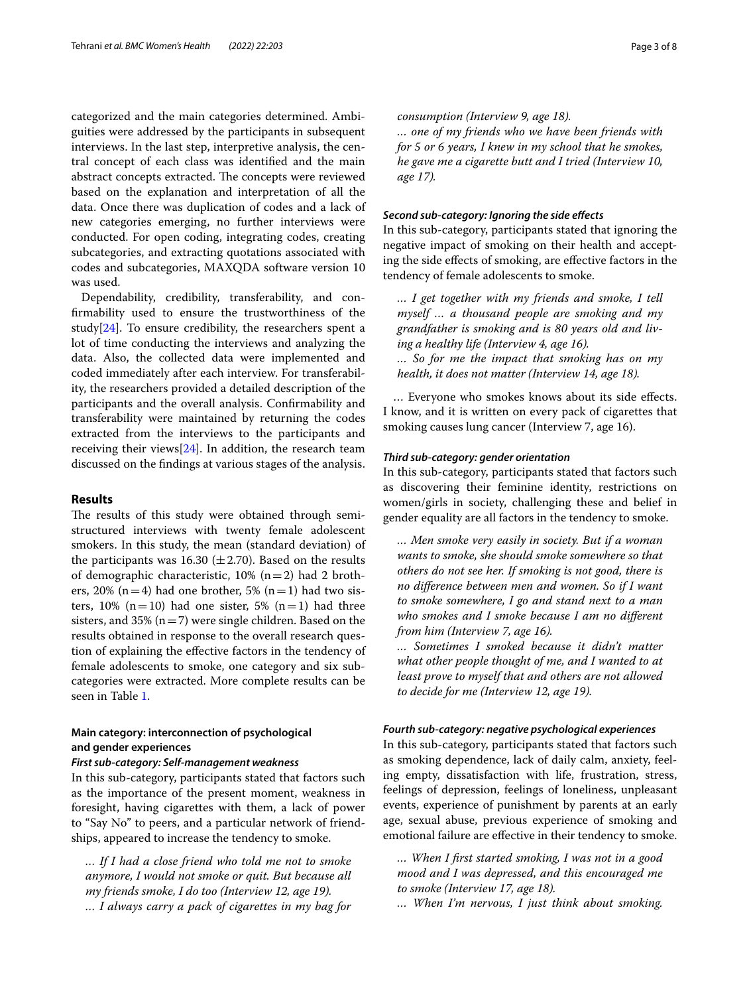categorized and the main categories determined. Ambiguities were addressed by the participants in subsequent interviews. In the last step, interpretive analysis, the central concept of each class was identifed and the main abstract concepts extracted. The concepts were reviewed based on the explanation and interpretation of all the data. Once there was duplication of codes and a lack of new categories emerging, no further interviews were conducted. For open coding, integrating codes, creating subcategories, and extracting quotations associated with codes and subcategories, MAXQDA software version 10 was used.

Dependability, credibility, transferability, and confrmability used to ensure the trustworthiness of the study[[24\]](#page-7-4). To ensure credibility, the researchers spent a lot of time conducting the interviews and analyzing the data. Also, the collected data were implemented and coded immediately after each interview. For transferability, the researchers provided a detailed description of the participants and the overall analysis. Confrmability and transferability were maintained by returning the codes extracted from the interviews to the participants and receiving their views $[24]$  $[24]$ . In addition, the research team discussed on the fndings at various stages of the analysis.

# **Results**

The results of this study were obtained through semistructured interviews with twenty female adolescent smokers. In this study, the mean (standard deviation) of the participants was 16.30 ( $\pm$  2.70). Based on the results of demographic characteristic,  $10\%$  (n = 2) had 2 brothers, 20% (n=4) had one brother, 5% (n=1) had two sisters,  $10\%$  (n=10) had one sister,  $5\%$  (n=1) had three sisters, and 35% ( $n=7$ ) were single children. Based on the results obtained in response to the overall research question of explaining the efective factors in the tendency of female adolescents to smoke, one category and six subcategories were extracted. More complete results can be seen in Table [1](#page-3-0).

# **Main category: interconnection of psychological and gender experiences**

# *First sub‑category: Self‑management weakness*

In this sub-category, participants stated that factors such as the importance of the present moment, weakness in foresight, having cigarettes with them, a lack of power to "Say No" to peers, and a particular network of friendships, appeared to increase the tendency to smoke.

*… If I had a close friend who told me not to smoke anymore, I would not smoke or quit. But because all my friends smoke, I do too (Interview 12, age 19). … I always carry a pack of cigarettes in my bag for* 

*consumption (Interview 9, age 18). … one of my friends who we have been friends with for 5 or 6 years, I knew in my school that he smokes, he gave me a cigarette butt and I tried (Interview 10, age 17).*

# *Second sub‑category: Ignoring the side efects*

In this sub-category, participants stated that ignoring the negative impact of smoking on their health and accepting the side efects of smoking, are efective factors in the tendency of female adolescents to smoke.

*… I get together with my friends and smoke, I tell myself … a thousand people are smoking and my grandfather is smoking and is 80 years old and living a healthy life (Interview 4, age 16). … So for me the impact that smoking has on my health, it does not matter (Interview 14, age 18).*

… Everyone who smokes knows about its side efects. I know, and it is written on every pack of cigarettes that smoking causes lung cancer (Interview 7, age 16).

# *Third sub‑category: gender orientation*

In this sub-category, participants stated that factors such as discovering their feminine identity, restrictions on women/girls in society, challenging these and belief in gender equality are all factors in the tendency to smoke.

*… Men smoke very easily in society. But if a woman wants to smoke, she should smoke somewhere so that others do not see her. If smoking is not good, there is no diference between men and women. So if I want to smoke somewhere, I go and stand next to a man who smokes and I smoke because I am no diferent from him (Interview 7, age 16).*

*… Sometimes I smoked because it didn't matter what other people thought of me, and I wanted to at least prove to myself that and others are not allowed to decide for me (Interview 12, age 19).*

## *Fourth sub‑category: negative psychological experiences*

In this sub-category, participants stated that factors such as smoking dependence, lack of daily calm, anxiety, feeling empty, dissatisfaction with life, frustration, stress, feelings of depression, feelings of loneliness, unpleasant events, experience of punishment by parents at an early age, sexual abuse, previous experience of smoking and emotional failure are efective in their tendency to smoke.

*… When I frst started smoking, I was not in a good mood and I was depressed, and this encouraged me to smoke (Interview 17, age 18).*

*… When I'm nervous, I just think about smoking.*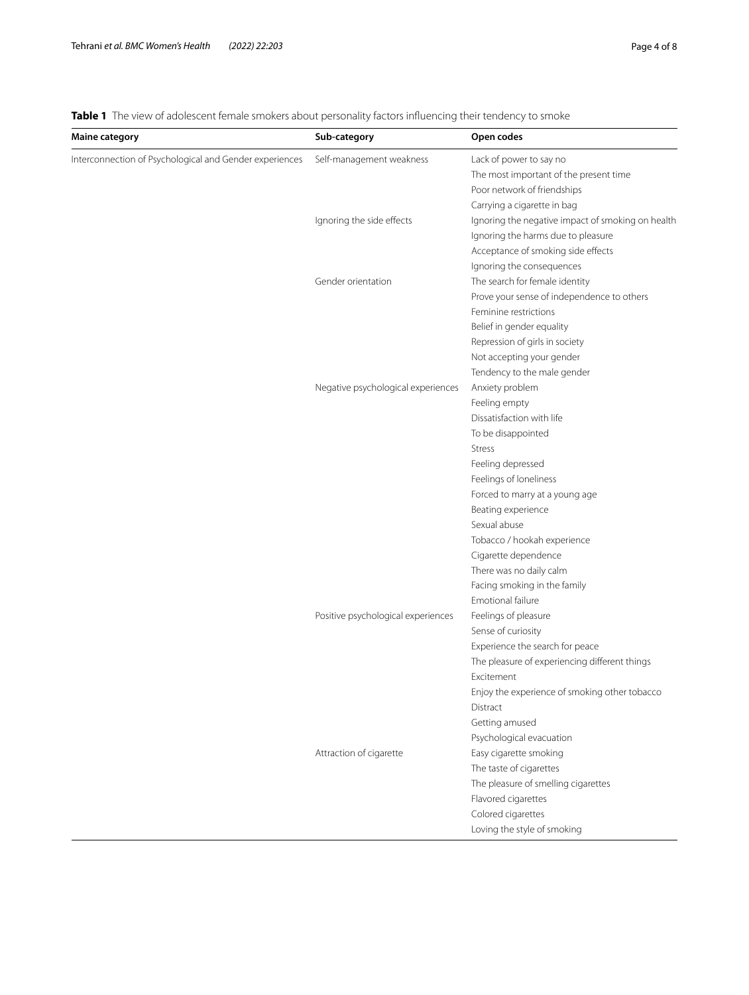<span id="page-3-0"></span>**Table 1** The view of adolescent female smokers about personality factors influencing their tendency to smoke

| <b>Maine category</b>                                   | Sub-category                       | Open codes                                        |
|---------------------------------------------------------|------------------------------------|---------------------------------------------------|
| Interconnection of Psychological and Gender experiences | Self-management weakness           | Lack of power to say no                           |
|                                                         |                                    | The most important of the present time            |
|                                                         |                                    | Poor network of friendships                       |
|                                                         |                                    | Carrying a cigarette in bag                       |
|                                                         | Ignoring the side effects          | Ignoring the negative impact of smoking on health |
|                                                         |                                    | Ignoring the harms due to pleasure                |
|                                                         |                                    | Acceptance of smoking side effects                |
|                                                         |                                    | Ignoring the consequences                         |
|                                                         | Gender orientation                 | The search for female identity                    |
|                                                         |                                    | Prove your sense of independence to others        |
|                                                         |                                    | Feminine restrictions                             |
|                                                         |                                    | Belief in gender equality                         |
|                                                         |                                    | Repression of girls in society                    |
|                                                         |                                    | Not accepting your gender                         |
|                                                         |                                    | Tendency to the male gender                       |
|                                                         | Negative psychological experiences | Anxiety problem                                   |
|                                                         |                                    | Feeling empty                                     |
|                                                         |                                    | Dissatisfaction with life                         |
|                                                         |                                    | To be disappointed                                |
|                                                         |                                    | <b>Stress</b>                                     |
|                                                         |                                    | Feeling depressed                                 |
|                                                         |                                    | Feelings of loneliness                            |
|                                                         |                                    | Forced to marry at a young age                    |
|                                                         |                                    | Beating experience                                |
|                                                         |                                    | Sexual abuse                                      |
|                                                         |                                    | Tobacco / hookah experience                       |
|                                                         |                                    | Cigarette dependence                              |
|                                                         |                                    | There was no daily calm                           |
|                                                         |                                    | Facing smoking in the family                      |
|                                                         |                                    | Emotional failure                                 |
|                                                         | Positive psychological experiences | Feelings of pleasure                              |
|                                                         |                                    | Sense of curiosity                                |
|                                                         |                                    | Experience the search for peace                   |
|                                                         |                                    | The pleasure of experiencing different things     |
|                                                         |                                    | Excitement                                        |
|                                                         |                                    | Enjoy the experience of smoking other tobacco     |
|                                                         |                                    | Distract                                          |
|                                                         |                                    | Getting amused                                    |
|                                                         |                                    | Psychological evacuation                          |
|                                                         | Attraction of cigarette            | Easy cigarette smoking                            |
|                                                         |                                    | The taste of cigarettes                           |
|                                                         |                                    | The pleasure of smelling cigarettes               |
|                                                         |                                    | Flavored cigarettes                               |
|                                                         |                                    | Colored cigarettes                                |
|                                                         |                                    | Loving the style of smoking                       |
|                                                         |                                    |                                                   |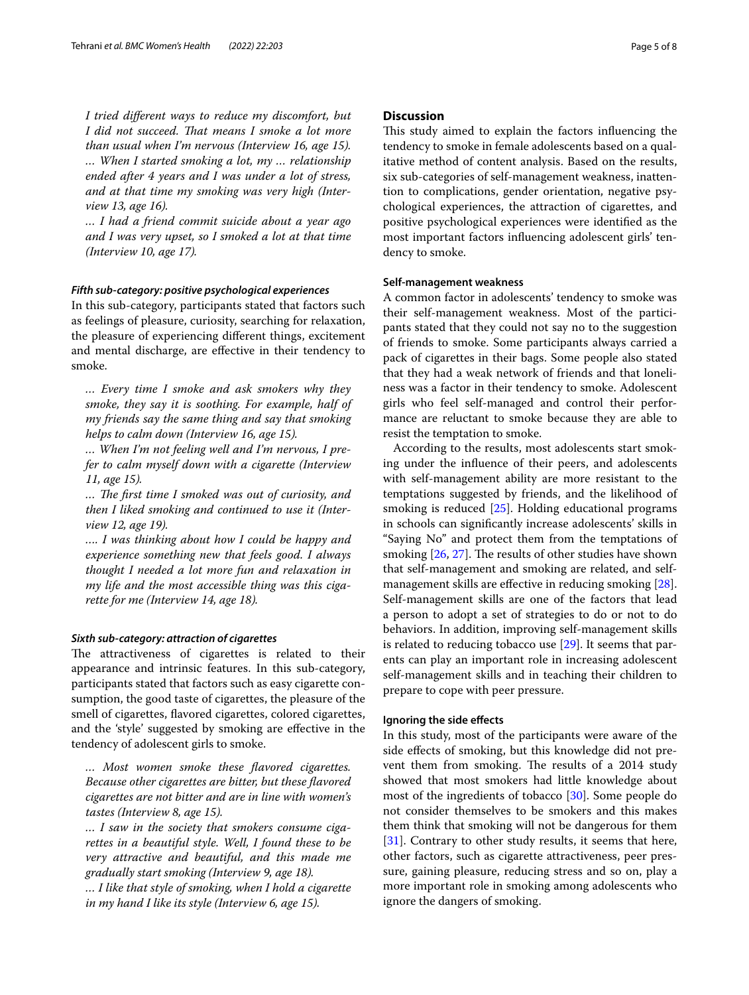*I tried diferent ways to reduce my discomfort, but*  I did not succeed. That means I smoke a lot more *than usual when I'm nervous (Interview 16, age 15). … When I started smoking a lot, my … relationship ended after 4 years and I was under a lot of stress, and at that time my smoking was very high (Interview 13, age 16).*

*… I had a friend commit suicide about a year ago and I was very upset, so I smoked a lot at that time (Interview 10, age 17).*

#### *Fifth sub‑category: positive psychological experiences*

In this sub-category, participants stated that factors such as feelings of pleasure, curiosity, searching for relaxation, the pleasure of experiencing diferent things, excitement and mental discharge, are efective in their tendency to smoke.

*… Every time I smoke and ask smokers why they smoke, they say it is soothing. For example, half of my friends say the same thing and say that smoking helps to calm down (Interview 16, age 15).*

*… When I'm not feeling well and I'm nervous, I prefer to calm myself down with a cigarette (Interview 11, age 15).*

*… Te frst time I smoked was out of curiosity, and then I liked smoking and continued to use it (Interview 12, age 19).*

*…. I was thinking about how I could be happy and experience something new that feels good. I always thought I needed a lot more fun and relaxation in my life and the most accessible thing was this cigarette for me (Interview 14, age 18).*

# *Sixth sub‑category: attraction of cigarettes*

The attractiveness of cigarettes is related to their appearance and intrinsic features. In this sub-category, participants stated that factors such as easy cigarette consumption, the good taste of cigarettes, the pleasure of the smell of cigarettes, favored cigarettes, colored cigarettes, and the 'style' suggested by smoking are efective in the tendency of adolescent girls to smoke.

*… Most women smoke these favored cigarettes. Because other cigarettes are bitter, but these favored cigarettes are not bitter and are in line with women's tastes (Interview 8, age 15).*

*… I saw in the society that smokers consume cigarettes in a beautiful style. Well, I found these to be very attractive and beautiful, and this made me gradually start smoking (Interview 9, age 18). … I like that style of smoking, when I hold a cigarette in my hand I like its style (Interview 6, age 15).*

# **Discussion**

This study aimed to explain the factors influencing the tendency to smoke in female adolescents based on a qualitative method of content analysis. Based on the results, six sub-categories of self-management weakness, inattention to complications, gender orientation, negative psychological experiences, the attraction of cigarettes, and positive psychological experiences were identifed as the most important factors infuencing adolescent girls' tendency to smoke.

## **Self-management weakness**

A common factor in adolescents' tendency to smoke was their self-management weakness. Most of the participants stated that they could not say no to the suggestion of friends to smoke. Some participants always carried a pack of cigarettes in their bags. Some people also stated that they had a weak network of friends and that loneliness was a factor in their tendency to smoke. Adolescent girls who feel self-managed and control their performance are reluctant to smoke because they are able to resist the temptation to smoke.

According to the results, most adolescents start smoking under the infuence of their peers, and adolescents with self-management ability are more resistant to the temptations suggested by friends, and the likelihood of smoking is reduced [[25\]](#page-7-5). Holding educational programs in schools can signifcantly increase adolescents' skills in "Saying No" and protect them from the temptations of smoking  $[26, 27]$  $[26, 27]$  $[26, 27]$ . The results of other studies have shown that self-management and smoking are related, and self-management skills are effective in reducing smoking [\[28](#page-7-8)]. Self-management skills are one of the factors that lead a person to adopt a set of strategies to do or not to do behaviors. In addition, improving self-management skills is related to reducing tobacco use [\[29](#page-7-9)]. It seems that parents can play an important role in increasing adolescent self-management skills and in teaching their children to prepare to cope with peer pressure.

# **Ignoring the side efects**

In this study, most of the participants were aware of the side efects of smoking, but this knowledge did not prevent them from smoking. The results of a 2014 study showed that most smokers had little knowledge about most of the ingredients of tobacco [[30](#page-7-10)]. Some people do not consider themselves to be smokers and this makes them think that smoking will not be dangerous for them [[31\]](#page-7-11). Contrary to other study results, it seems that here, other factors, such as cigarette attractiveness, peer pressure, gaining pleasure, reducing stress and so on, play a more important role in smoking among adolescents who ignore the dangers of smoking.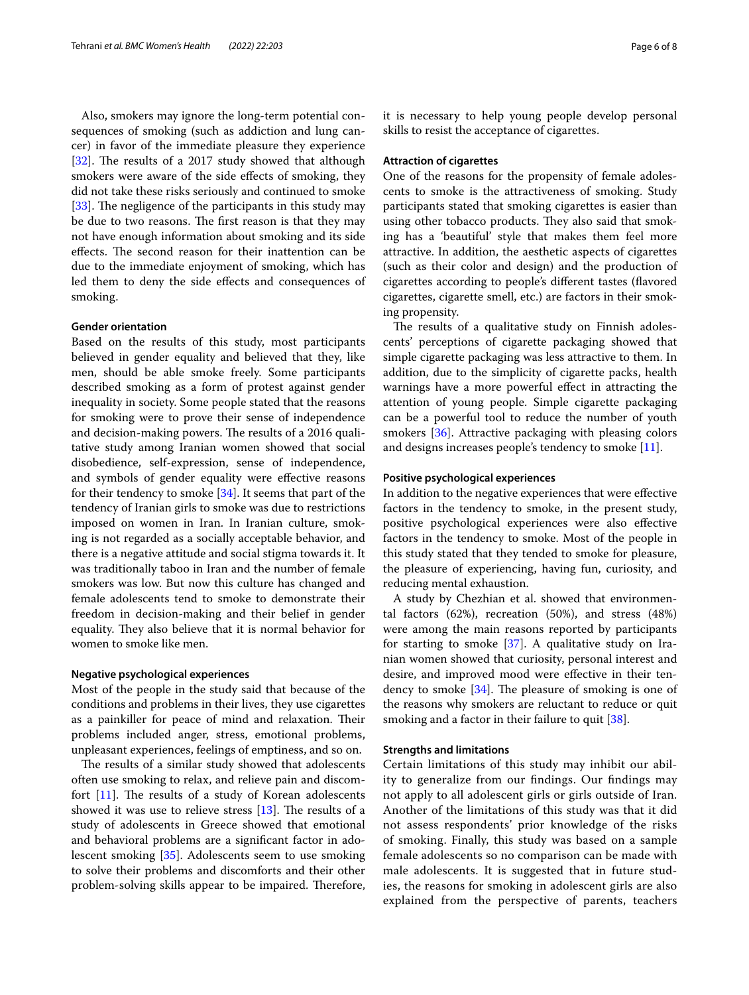Also, smokers may ignore the long-term potential consequences of smoking (such as addiction and lung cancer) in favor of the immediate pleasure they experience  $[32]$  $[32]$ . The results of a 2017 study showed that although smokers were aware of the side efects of smoking, they did not take these risks seriously and continued to smoke [ $33$ ]. The negligence of the participants in this study may be due to two reasons. The first reason is that they may not have enough information about smoking and its side effects. The second reason for their inattention can be due to the immediate enjoyment of smoking, which has led them to deny the side efects and consequences of smoking.

# **Gender orientation**

Based on the results of this study, most participants believed in gender equality and believed that they, like men, should be able smoke freely. Some participants described smoking as a form of protest against gender inequality in society. Some people stated that the reasons for smoking were to prove their sense of independence and decision-making powers. The results of a 2016 qualitative study among Iranian women showed that social disobedience, self-expression, sense of independence, and symbols of gender equality were efective reasons for their tendency to smoke [\[34](#page-7-14)]. It seems that part of the tendency of Iranian girls to smoke was due to restrictions imposed on women in Iran. In Iranian culture, smoking is not regarded as a socially acceptable behavior, and there is a negative attitude and social stigma towards it. It was traditionally taboo in Iran and the number of female smokers was low. But now this culture has changed and female adolescents tend to smoke to demonstrate their freedom in decision-making and their belief in gender equality. They also believe that it is normal behavior for women to smoke like men.

# **Negative psychological experiences**

Most of the people in the study said that because of the conditions and problems in their lives, they use cigarettes as a painkiller for peace of mind and relaxation. Their problems included anger, stress, emotional problems, unpleasant experiences, feelings of emptiness, and so on.

The results of a similar study showed that adolescents often use smoking to relax, and relieve pain and discomfort  $[11]$  $[11]$ . The results of a study of Korean adolescents showed it was use to relieve stress  $[13]$ . The results of a study of adolescents in Greece showed that emotional and behavioral problems are a signifcant factor in adolescent smoking [\[35](#page-7-15)]. Adolescents seem to use smoking to solve their problems and discomforts and their other problem-solving skills appear to be impaired. Therefore, it is necessary to help young people develop personal skills to resist the acceptance of cigarettes.

#### **Attraction of cigarettes**

One of the reasons for the propensity of female adolescents to smoke is the attractiveness of smoking. Study participants stated that smoking cigarettes is easier than using other tobacco products. They also said that smoking has a 'beautiful' style that makes them feel more attractive. In addition, the aesthetic aspects of cigarettes (such as their color and design) and the production of cigarettes according to people's diferent tastes (favored cigarettes, cigarette smell, etc.) are factors in their smoking propensity.

The results of a qualitative study on Finnish adolescents' perceptions of cigarette packaging showed that simple cigarette packaging was less attractive to them. In addition, due to the simplicity of cigarette packs, health warnings have a more powerful efect in attracting the attention of young people. Simple cigarette packaging can be a powerful tool to reduce the number of youth smokers [[36\]](#page-7-16). Attractive packaging with pleasing colors and designs increases people's tendency to smoke [[11\]](#page-6-9).

# **Positive psychological experiences**

In addition to the negative experiences that were efective factors in the tendency to smoke, in the present study, positive psychological experiences were also efective factors in the tendency to smoke. Most of the people in this study stated that they tended to smoke for pleasure, the pleasure of experiencing, having fun, curiosity, and reducing mental exhaustion.

A study by Chezhian et al. showed that environmental factors (62%), recreation (50%), and stress (48%) were among the main reasons reported by participants for starting to smoke [[37\]](#page-7-17). A qualitative study on Iranian women showed that curiosity, personal interest and desire, and improved mood were efective in their tendency to smoke  $[34]$  $[34]$ . The pleasure of smoking is one of the reasons why smokers are reluctant to reduce or quit smoking and a factor in their failure to quit [[38\]](#page-7-18).

## **Strengths and limitations**

Certain limitations of this study may inhibit our ability to generalize from our fndings. Our fndings may not apply to all adolescent girls or girls outside of Iran. Another of the limitations of this study was that it did not assess respondents' prior knowledge of the risks of smoking. Finally, this study was based on a sample female adolescents so no comparison can be made with male adolescents. It is suggested that in future studies, the reasons for smoking in adolescent girls are also explained from the perspective of parents, teachers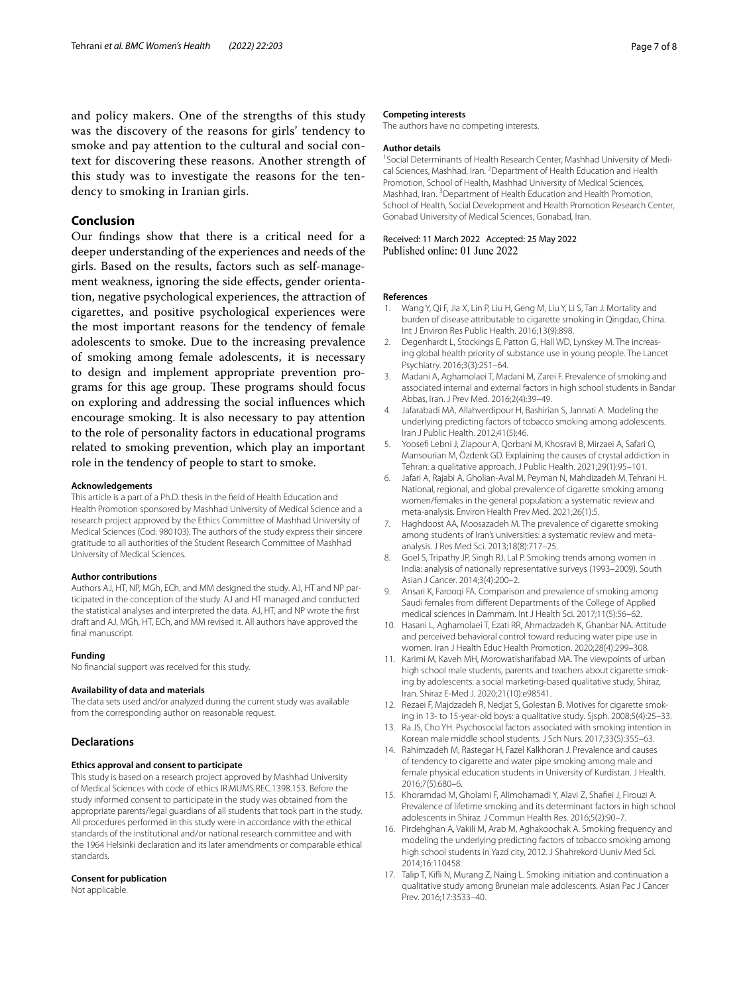and policy makers. One of the strengths of this study was the discovery of the reasons for girls' tendency to smoke and pay attention to the cultural and social context for discovering these reasons. Another strength of this study was to investigate the reasons for the tendency to smoking in Iranian girls.

# **Conclusion**

Our fndings show that there is a critical need for a deeper understanding of the experiences and needs of the girls. Based on the results, factors such as self-management weakness, ignoring the side efects, gender orientation, negative psychological experiences, the attraction of cigarettes, and positive psychological experiences were the most important reasons for the tendency of female adolescents to smoke. Due to the increasing prevalence of smoking among female adolescents, it is necessary to design and implement appropriate prevention programs for this age group. These programs should focus on exploring and addressing the social infuences which encourage smoking. It is also necessary to pay attention to the role of personality factors in educational programs related to smoking prevention, which play an important role in the tendency of people to start to smoke.

#### **Acknowledgements**

This article is a part of a Ph.D. thesis in the feld of Health Education and Health Promotion sponsored by Mashhad University of Medical Science and a research project approved by the Ethics Committee of Mashhad University of Medical Sciences (Cod: 980103). The authors of the study express their sincere gratitude to all authorities of the Student Research Committee of Mashhad University of Medical Sciences.

#### **Author contributions**

Authors AJ, HT, NP, MGh, ECh, and MM designed the study. AJ, HT and NP participated in the conception of the study. AJ and HT managed and conducted the statistical analyses and interpreted the data. AJ, HT, and NP wrote the frst draft and AJ, MGh, HT, ECh, and MM revised it. All authors have approved the final manuscript.

#### **Funding**

No fnancial support was received for this study.

#### **Availability of data and materials**

The data sets used and/or analyzed during the current study was available from the corresponding author on reasonable request.

#### **Declarations**

#### **Ethics approval and consent to participate**

This study is based on a research project approved by Mashhad University of Medical Sciences with code of ethics IR.MUMS.REC.1398.153. Before the study informed consent to participate in the study was obtained from the appropriate parents/legal guardians of all students that took part in the study. All procedures performed in this study were in accordance with the ethical standards of the institutional and/or national research committee and with the 1964 Helsinki declaration and its later amendments or comparable ethical standards.

## **Consent for publication**

Not applicable.

# **Competing interests**

The authors have no competing interests.

#### **Author details**

<sup>1</sup> Social Determinants of Health Research Center, Mashhad University of Medical Sciences, Mashhad, Iran. <sup>2</sup> Department of Health Education and Health Promotion, School of Health, Mashhad University of Medical Sciences, Mashhad, Iran.<sup>3</sup> Department of Health Education and Health Promotion, School of Health, Social Development and Health Promotion Research Center, Gonabad University of Medical Sciences, Gonabad, Iran.

Received: 11 March 2022 Accepted: 25 May 2022 Published online: 01 June 2022

#### **References**

- <span id="page-6-0"></span>1. Wang Y, Qi F, Jia X, Lin P, Liu H, Geng M, Liu Y, Li S, Tan J. Mortality and burden of disease attributable to cigarette smoking in Qingdao, China. Int J Environ Res Public Health. 2016;13(9):898.
- <span id="page-6-1"></span>2. Degenhardt L, Stockings E, Patton G, Hall WD, Lynskey M. The increasing global health priority of substance use in young people. The Lancet Psychiatry. 2016;3(3):251–64.
- <span id="page-6-2"></span>3. Madani A, Aghamolaei T, Madani M, Zarei F. Prevalence of smoking and associated internal and external factors in high school students in Bandar Abbas, Iran. J Prev Med. 2016;2(4):39–49.
- 4. Jafarabadi MA, Allahverdipour H, Bashirian S, Jannati A. Modeling the underlying predicting factors of tobacco smoking among adolescents. Iran J Public Health. 2012;41(5):46.
- <span id="page-6-3"></span>5. Yoosef Lebni J, Ziapour A, Qorbani M, Khosravi B, Mirzaei A, Safari O, Mansourian M, Özdenk GD. Explaining the causes of crystal addiction in Tehran: a qualitative approach. J Public Health. 2021;29(1):95–101.
- <span id="page-6-4"></span>6. Jafari A, Rajabi A, Gholian-Aval M, Peyman N, Mahdizadeh M, Tehrani H. National, regional, and global prevalence of cigarette smoking among women/females in the general population: a systematic review and meta-analysis. Environ Health Prev Med. 2021;26(1):5.
- <span id="page-6-5"></span>7. Haghdoost AA, Moosazadeh M. The prevalence of cigarette smoking among students of Iran's universities: a systematic review and metaanalysis. J Res Med Sci. 2013;18(8):717–25.
- <span id="page-6-6"></span>Goel S, Tripathy JP, Singh RJ, Lal P. Smoking trends among women in India: analysis of nationally representative surveys (1993–2009). South Asian J Cancer. 2014;3(4):200–2.
- <span id="page-6-7"></span>9. Ansari K, Farooqi FA. Comparison and prevalence of smoking among Saudi females from diferent Departments of the College of Applied medical sciences in Dammam. Int J Health Sci. 2017;11(5):56–62.
- <span id="page-6-8"></span>10. Hasani L, Aghamolaei T, Ezati RR, Ahmadzadeh K, Ghanbar NA. Attitude and perceived behavioral control toward reducing water pipe use in women. Iran J Health Educ Health Promotion. 2020;28(4):299–308.
- <span id="page-6-9"></span>11. Karimi M, Kaveh MH, Morowatisharifabad MA. The viewpoints of urban high school male students, parents and teachers about cigarette smoking by adolescents: a social marketing-based qualitative study, Shiraz, Iran. Shiraz E-Med J. 2020;21(10):e98541.
- <span id="page-6-10"></span>12. Rezaei F, Majdzadeh R, Nedjat S, Golestan B. Motives for cigarette smoking in 13- to 15-year-old boys: a qualitative study. Sjsph. 2008;5(4):25–33.
- <span id="page-6-11"></span>13. Ra JS, Cho YH. Psychosocial factors associated with smoking intention in Korean male middle school students. J Sch Nurs. 2017;33(5):355–63.
- <span id="page-6-12"></span>14. Rahimzadeh M, Rastegar H, Fazel Kalkhoran J. Prevalence and causes of tendency to cigarette and water pipe smoking among male and female physical education students in University of Kurdistan. J Health. 2016;7(5):680–6.
- 15. Khoramdad M, Gholami F, Alimohamadi Y, Alavi Z, Shafei J, Firouzi A. Prevalence of lifetime smoking and its determinant factors in high school adolescents in Shiraz. J Commun Health Res. 2016;5(2):90–7.
- <span id="page-6-13"></span>16. Pirdehghan A, Vakili M, Arab M, Aghakoochak A. Smoking frequency and modeling the underlying predicting factors of tobacco smoking among high school students in Yazd city, 2012. J Shahrekord Uuniv Med Sci. 2014;16:110458.
- <span id="page-6-14"></span>17. Talip T, Kifli N, Murang Z, Naing L. Smoking initiation and continuation a qualitative study among Bruneian male adolescents. Asian Pac J Cancer Prev. 2016;17:3533–40.